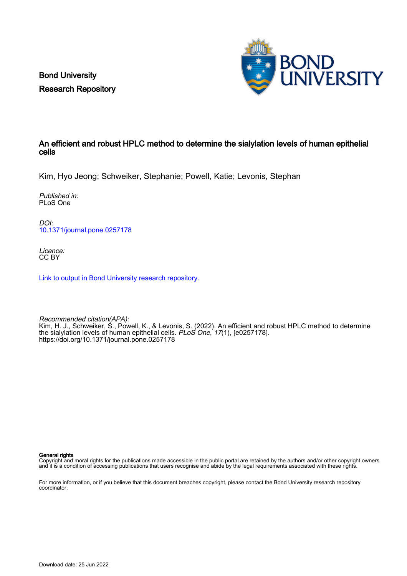Bond University Research Repository



## An efficient and robust HPLC method to determine the sialylation levels of human epithelial cells

Kim, Hyo Jeong; Schweiker, Stephanie; Powell, Katie; Levonis, Stephan

Published in: PLoS One

DOI: [10.1371/journal.pone.0257178](https://doi.org/10.1371/journal.pone.0257178)

Licence: CC BY

[Link to output in Bond University research repository.](https://research.bond.edu.au/en/publications/520c892b-0d7d-43c3-a62b-96a295ef513f)

Recommended citation(APA): Kim, H. J., Schweiker, S., Powell, K., & Levonis, S. (2022). An efficient and robust HPLC method to determine the sialylation levels of human epithelial cells. PLoS One, 17(1), [e0257178]. <https://doi.org/10.1371/journal.pone.0257178>

General rights

Copyright and moral rights for the publications made accessible in the public portal are retained by the authors and/or other copyright owners and it is a condition of accessing publications that users recognise and abide by the legal requirements associated with these rights.

For more information, or if you believe that this document breaches copyright, please contact the Bond University research repository coordinator.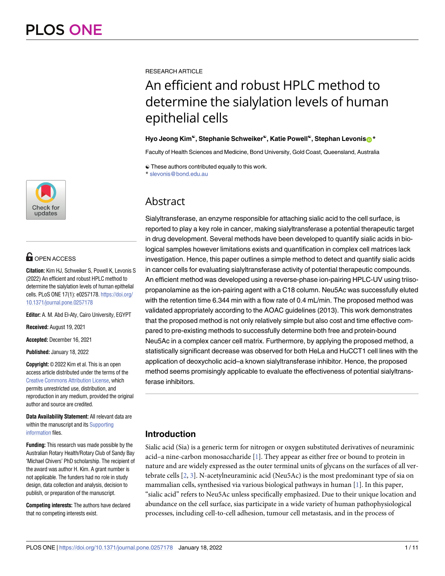

# **G** OPEN ACCESS

**Citation:** Kim HJ, Schweiker S, Powell K, Levonis S (2022) An efficient and robust HPLC method to determine the sialylation levels of human epithelial cells. PLoS ONE 17(1): e0257178. [https://doi.org/](https://doi.org/10.1371/journal.pone.0257178) [10.1371/journal.pone.0257178](https://doi.org/10.1371/journal.pone.0257178)

**Editor:** A. M. Abd El-Aty, Cairo University, EGYPT

**Received:** August 19, 2021

**Accepted:** December 16, 2021

**Published:** January 18, 2022

**Copyright:** © 2022 Kim et al. This is an open access article distributed under the terms of the Creative Commons [Attribution](http://creativecommons.org/licenses/by/4.0/) License, which permits unrestricted use, distribution, and reproduction in any medium, provided the original author and source are credited.

**Data Availability Statement:** All relevant data are within the manuscript and its [Supporting](#page-10-0) [information](#page-10-0) files.

**Funding:** This research was made possible by the Australian Rotary Health/Rotary Club of Sandy Bay 'Michael Chivers' PhD scholarship. The recipient of the award was author H. Kim. A grant number is not applicable. The funders had no role in study design, data collection and analysis, decision to publish, or preparation of the manuscript.

**Competing interests:** The authors have declared that no competing interests exist.

<span id="page-1-0"></span>**RESEARCH ARTICLE** 

# An efficient and robust HPLC method to determine the sialylation levels of human epithelial cells

#### **Hyo Jeong Kim<sup>®</sup>, Stephanie Schweiker<sup>®</sup>, Katie Powell<sup>®</sup>, Stephan Levonis<sup>®</sup>**

Faculty of Health Sciences and Medicine, Bond University, Gold Coast, Queensland, Australia

☯ These authors contributed equally to this work. \* slevonis@bond.edu.au

# **Abstract**

Sialyltransferase, an enzyme responsible for attaching sialic acid to the cell surface, is reported to play a key role in cancer, making sialyltransferase a potential therapeutic target in drug development. Several methods have been developed to quantify sialic acids in biological samples however limitations exists and quantification in complex cell matrices lack investigation. Hence, this paper outlines a simple method to detect and quantify sialic acids in cancer cells for evaluating sialyltransferase activity of potential therapeutic compounds. An efficient method was developed using a reverse-phase ion-pairing HPLC-UV using triisopropanolamine as the ion-pairing agent with a C18 column. Neu5Ac was successfully eluted with the retention time 6.344 min with a flow rate of 0.4 mL/min. The proposed method was validated appropriately according to the AOAC guidelines (2013). This work demonstrates that the proposed method is not only relatively simple but also cost and time effective compared to pre-existing methods to successfully determine both free and protein-bound Neu5Ac in a complex cancer cell matrix. Furthermore, by applying the proposed method, a statistically significant decrease was observed for both HeLa and HuCCT1 cell lines with the application of deoxycholic acid–a known sialyltransferase inhibitor. Hence, the proposed method seems promisingly applicable to evaluate the effectiveness of potential sialyltransferase inhibitors.

# **Introduction**

Sialic acid (Sia) is a generic term for nitrogen or oxygen substituted derivatives of neuraminic acid–a nine-carbon monosaccharide [\[1\]](#page-10-0). They appear as either free or bound to protein in nature and are widely expressed as the outer terminal units of glycans on the surfaces of all vertebrate cells [\[2](#page-10-0), [3](#page-10-0)]. N-acetylneuraminic acid (Neu5Ac) is the most predominant type of sia on mammalian cells, synthesised via various biological pathways in human [[1](#page-10-0)]. In this paper, "sialic acid" refers to Neu5Ac unless specifically emphasized. Due to their unique location and abundance on the cell surface, sias participate in a wide variety of human pathophysiological processes, including cell-to-cell adhesion, tumour cell metastasis, and in the process of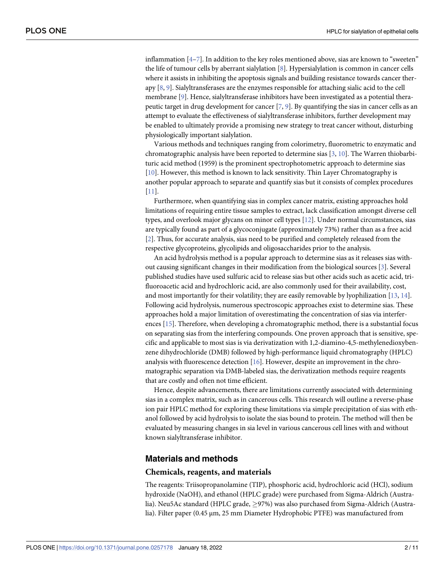<span id="page-2-0"></span>inflammation  $[4-7]$ . In addition to the key roles mentioned above, sias are known to "sweeten" the life of tumour cells by aberrant sialylation [\[8](#page-10-0)]. Hypersialylation is common in cancer cells where it assists in inhibiting the apoptosis signals and building resistance towards cancer therapy [[8](#page-10-0), [9\]](#page-10-0). Sialyltransferases are the enzymes responsible for attaching sialic acid to the cell membrane [\[9\]](#page-10-0). Hence, sialyltransferase inhibitors have been investigated as a potential therapeutic target in drug development for cancer  $[7, 9]$  $[7, 9]$  $[7, 9]$  $[7, 9]$ . By quantifying the sias in cancer cells as an attempt to evaluate the effectiveness of sialyltransferase inhibitors, further development may be enabled to ultimately provide a promising new strategy to treat cancer without, disturbing physiologically important sialylation.

Various methods and techniques ranging from colorimetry, fluorometric to enzymatic and chromatographic analysis have been reported to determine sias [\[3,](#page-10-0) [10\]](#page-10-0). The Warren thiobarbituric acid method (1959) is the prominent spectrophotometric approach to determine sias [\[10\]](#page-10-0). However, this method is known to lack sensitivity. Thin Layer Chromatography is another popular approach to separate and quantify sias but it consists of complex procedures [\[11\]](#page-10-0).

Furthermore, when quantifying sias in complex cancer matrix, existing approaches hold limitations of requiring entire tissue samples to extract, lack classification amongst diverse cell types, and overlook major glycans on minor cell types [\[12\]](#page-10-0). Under normal circumstances, sias are typically found as part of a glycoconjugate (approximately 73%) rather than as a free acid [\[2](#page-10-0)]. Thus, for accurate analysis, sias need to be purified and completely released from the respective glycoproteins, glycolipids and oligosaccharides prior to the analysis.

An acid hydrolysis method is a popular approach to determine sias as it releases sias without causing significant changes in their modification from the biological sources [\[3\]](#page-10-0). Several published studies have used sulfuric acid to release sias but other acids such as acetic acid, trifluoroacetic acid and hydrochloric acid, are also commonly used for their availability, cost, and most importantly for their volatility; they are easily removable by lyophilization [[13](#page-11-0), [14](#page-11-0)]. Following acid hydrolysis, numerous spectroscopic approaches exist to determine sias. These approaches hold a major limitation of overestimating the concentration of sias via interferences [\[15\]](#page-11-0). Therefore, when developing a chromatographic method, there is a substantial focus on separating sias from the interfering compounds. One proven approach that is sensitive, specific and applicable to most sias is via derivatization with 1,2-diamino-4,5-methylenedioxybenzene dihydrochloride (DMB) followed by high-performance liquid chromatography (HPLC) analysis with fluorescence detection  $[16]$  $[16]$  $[16]$ . However, despite an improvement in the chromatographic separation via DMB-labeled sias, the derivatization methods require reagents that are costly and often not time efficient.

Hence, despite advancements, there are limitations currently associated with determining sias in a complex matrix, such as in cancerous cells. This research will outline a reverse-phase ion pair HPLC method for exploring these limitations via simple precipitation of sias with ethanol followed by acid hydrolysis to isolate the sias bound to protein. The method will then be evaluated by measuring changes in sia level in various cancerous cell lines with and without known sialyltransferase inhibitor.

#### **Materials and methods**

#### **Chemicals, reagents, and materials**

The reagents: Triisopropanolamine (TIP), phosphoric acid, hydrochloric acid (HCl), sodium hydroxide (NaOH), and ethanol (HPLC grade) were purchased from Sigma-Aldrich (Australia). Neu5Ac standard (HPLC grade,  $\geq$ 97%) was also purchased from Sigma-Aldrich (Australia). Filter paper (0.45 μm, 25 mm Diameter Hydrophobic PTFE) was manufactured from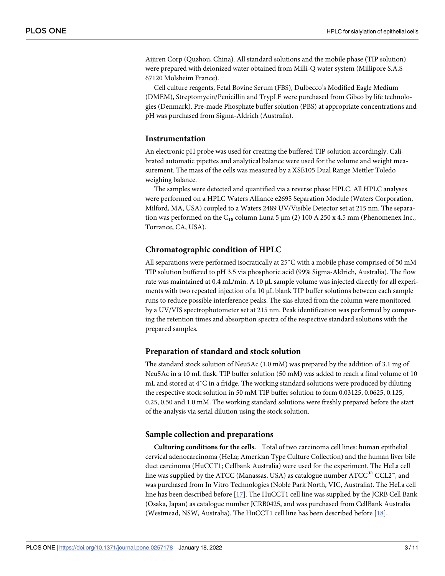<span id="page-3-0"></span>Aijiren Corp (Quzhou, China). All standard solutions and the mobile phase (TIP solution) were prepared with deionized water obtained from Milli-Q water system (Millipore S.A.S 67120 Molsheim France).

Cell culture reagents, Fetal Bovine Serum (FBS), Dulbecco's Modified Eagle Medium (DMEM), Streptomycin/Penicillin and TrypLE were purchased from Gibco by life technologies (Denmark). Pre-made Phosphate buffer solution (PBS) at appropriate concentrations and pH was purchased from Sigma-Aldrich (Australia).

#### **Instrumentation**

An electronic pH probe was used for creating the buffered TIP solution accordingly. Calibrated automatic pipettes and analytical balance were used for the volume and weight measurement. The mass of the cells was measured by a XSE105 Dual Range Mettler Toledo weighing balance.

The samples were detected and quantified via a reverse phase HPLC. All HPLC analyses were performed on a HPLC Waters Alliance e2695 Separation Module (Waters Corporation, Milford, MA, USA) coupled to a Waters 2489 UV/Visible Detector set at 215 nm. The separation was performed on the C<sub>18</sub> column Luna 5 μm (2) 100 A 250 x 4.5 mm (Phenomenex Inc., Torrance, CA, USA).

#### **Chromatographic condition of HPLC**

All separations were performed isocratically at 25˚C with a mobile phase comprised of 50 mM TIP solution buffered to pH 3.5 via phosphoric acid (99% Sigma-Aldrich, Australia). The flow rate was maintained at 0.4 mL/min. A 10 μL sample volume was injected directly for all experiments with two repeated injection of a 10 μL blank TIP buffer solutions between each sample runs to reduce possible interference peaks. The sias eluted from the column were monitored by a UV/VIS spectrophotometer set at 215 nm. Peak identification was performed by comparing the retention times and absorption spectra of the respective standard solutions with the prepared samples.

#### **Preparation of standard and stock solution**

The standard stock solution of Neu5Ac (1.0 mM) was prepared by the addition of 3.1 mg of Neu5Ac in a 10 mL flask. TIP buffer solution (50 mM) was added to reach a final volume of 10 mL and stored at 4˚C in a fridge. The working standard solutions were produced by diluting the respective stock solution in 50 mM TIP buffer solution to form 0.03125, 0.0625, 0.125, 0.25, 0.50 and 1.0 mM. The working standard solutions were freshly prepared before the start of the analysis via serial dilution using the stock solution.

#### **Sample collection and preparations**

**Culturing conditions for the cells.** Total of two carcinoma cell lines: human epithelial cervical adenocarcinoma (HeLa; American Type Culture Collection) and the human liver bile duct carcinoma (HuCCT1; Cellbank Australia) were used for the experiment. The HeLa cell line was supplied by the ATCC (Manassas, USA) as catalogue number  $\tt{ATCC}^{(8)}\t{CCL2}^n$ , and was purchased from In Vitro Technologies (Noble Park North, VIC, Australia). The HeLa cell line has been described before [\[17\]](#page-11-0). The HuCCT1 cell line was supplied by the JCRB Cell Bank (Osaka, Japan) as catalogue number JCRB0425, and was purchased from CellBank Australia (Westmead, NSW, Australia). The HuCCT1 cell line has been described before [\[18\]](#page-11-0).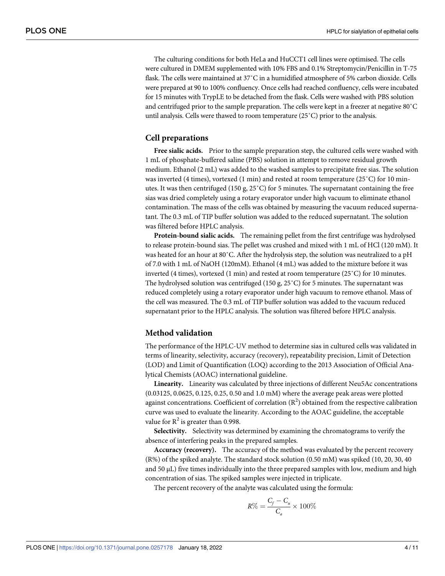The culturing conditions for both HeLa and HuCCT1 cell lines were optimised. The cells were cultured in DMEM supplemented with 10% FBS and 0.1% Streptomycin/Penicillin in T-75 flask. The cells were maintained at 37˚C in a humidified atmosphere of 5% carbon dioxide. Cells were prepared at 90 to 100% confluency. Once cells had reached confluency, cells were incubated for 15 minutes with TrypLE to be detached from the flask. Cells were washed with PBS solution and centrifuged prior to the sample preparation. The cells were kept in a freezer at negative 80˚C until analysis. Cells were thawed to room temperature (25˚C) prior to the analysis.

#### **Cell preparations**

**Free sialic acids.** Prior to the sample preparation step, the cultured cells were washed with 1 mL of phosphate-buffered saline (PBS) solution in attempt to remove residual growth medium. Ethanol (2 mL) was added to the washed samples to precipitate free sias. The solution was inverted (4 times), vortexed (1 min) and rested at room temperature (25˚C) for 10 minutes. It was then centrifuged (150 g, 25˚C) for 5 minutes. The supernatant containing the free sias was dried completely using a rotary evaporator under high vacuum to eliminate ethanol contamination. The mass of the cells was obtained by measuring the vacuum reduced supernatant. The 0.3 mL of TIP buffer solution was added to the reduced supernatant. The solution was filtered before HPLC analysis.

**Protein-bound sialic acids.** The remaining pellet from the first centrifuge was hydrolysed to release protein-bound sias. The pellet was crushed and mixed with 1 mL of HCl (120 mM). It was heated for an hour at 80˚C. After the hydrolysis step, the solution was neutralized to a pH of 7.0 with 1 mL of NaOH (120mM). Ethanol (4 mL) was added to the mixture before it was inverted (4 times), vortexed (1 min) and rested at room temperature (25˚C) for 10 minutes. The hydrolysed solution was centrifuged (150 g, 25˚C) for 5 minutes. The supernatant was reduced completely using a rotary evaporator under high vacuum to remove ethanol. Mass of the cell was measured. The 0.3 mL of TIP buffer solution was added to the vacuum reduced supernatant prior to the HPLC analysis. The solution was filtered before HPLC analysis.

#### **Method validation**

The performance of the HPLC-UV method to determine sias in cultured cells was validated in terms of linearity, selectivity, accuracy (recovery), repeatability precision, Limit of Detection (LOD) and Limit of Quantification (LOQ) according to the 2013 Association of Official Analytical Chemists (AOAC) international guideline.

**Linearity.** Linearity was calculated by three injections of different Neu5Ac concentrations (0.03125, 0.0625, 0.125, 0.25, 0.50 and 1.0 mM) where the average peak areas were plotted against concentrations. Coefficient of correlation  $(R^2)$  obtained from the respective calibration curve was used to evaluate the linearity. According to the AOAC guideline, the acceptable value for  $R^2$  is greater than 0.998.

**Selectivity.** Selectivity was determined by examining the chromatograms to verify the absence of interfering peaks in the prepared samples.

**Accuracy (recovery).** The accuracy of the method was evaluated by the percent recovery (R%) of the spiked analyte. The standard stock solution (0.50 mM) was spiked (10, 20, 30, 40 and  $50 \mu L$ ) five times individually into the three prepared samples with low, medium and high concentration of sias. The spiked samples were injected in triplicate.

The percent recovery of the analyte was calculated using the formula:

$$
R\% = \frac{C_f - C_u}{C_a} \times 100\%
$$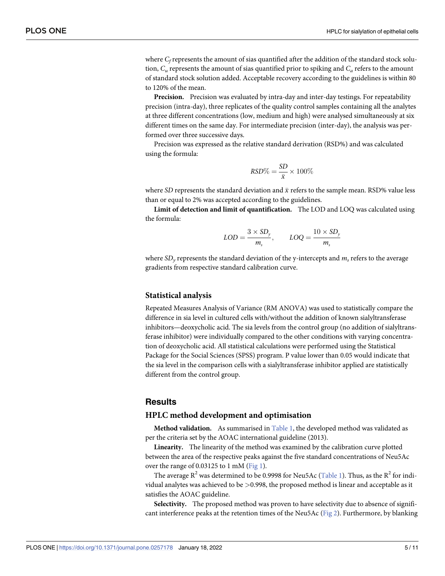<span id="page-5-0"></span>where  $C_f$  represents the amount of sias quantified after the addition of the standard stock solution, *Cu* represents the amount of sias quantified prior to spiking and *Ca* refers to the amount of standard stock solution added. Acceptable recovery according to the guidelines is within 80 to 120% of the mean.

**Precision.** Precision was evaluated by intra-day and inter-day testings. For repeatability precision (intra-day), three replicates of the quality control samples containing all the analytes at three different concentrations (low, medium and high) were analysed simultaneously at six different times on the same day. For intermediate precision (inter-day), the analysis was performed over three successive days.

Precision was expressed as the relative standard derivation (RSD%) and was calculated using the formula:

$$
RSD\% = \frac{SD}{\bar{x}} \times 100\%
$$

where *SD* represents the standard deviation and  $\bar{x}$  refers to the sample mean. RSD% value less than or equal to 2% was accepted according to the guidelines.

**Limit of detection and limit of quantification.** The LOD and LOQ was calculated using the formula:

$$
LOD = \frac{3 \times SD_y}{m_s}, \qquad LOQ = \frac{10 \times SD_y}{m_s}
$$

where  $SD<sub>v</sub>$  represents the standard deviation of the y-intercepts and  $m<sub>s</sub>$  refers to the average gradients from respective standard calibration curve.

#### **Statistical analysis**

Repeated Measures Analysis of Variance (RM ANOVA) was used to statistically compare the difference in sia level in cultured cells with/without the addition of known sialyltransferase inhibitors—deoxycholic acid. The sia levels from the control group (no addition of sialyltransferase inhibitor) were individually compared to the other conditions with varying concentration of deoxycholic acid. All statistical calculations were performed using the Statistical Package for the Social Sciences (SPSS) program. P value lower than 0.05 would indicate that the sia level in the comparison cells with a sialyltransferase inhibitor applied are statistically different from the control group.

#### **Results**

#### **HPLC method development and optimisation**

**Method validation.** As summarised in [Table](#page-6-0) 1, the developed method was validated as per the criteria set by the AOAC international guideline (2013).

**Linearity.** The linearity of the method was examined by the calibration curve plotted between the area of the respective peaks against the five standard concentrations of Neu5Ac over the range of 0.03125 to 1 mM [\(Fig](#page-6-0) 1).

The average  $R^2$  was determined to be 0.9998 for Neu5Ac ([Table](#page-6-0) 1). Thus, as the  $R^2$  for individual analytes was achieved to be *>*0.998, the proposed method is linear and acceptable as it satisfies the AOAC guideline.

**Selectivity.** The proposed method was proven to have selectivity due to absence of significant interference peaks at the retention times of the Neu5Ac [\(Fig](#page-7-0) 2). Furthermore, by blanking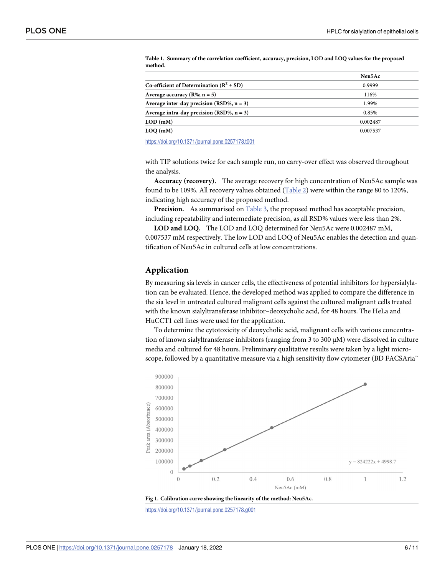| Neu5Ac   |
|----------|
| 0.9999   |
| 116%     |
| 1.99%    |
| 0.85%    |
| 0.002487 |
| 0.007537 |
|          |

<span id="page-6-0"></span>**[Table](#page-5-0) 1. Summary of the correlation coefficient, accuracy, precision, LOD and LOQ values for the proposed method.**

<https://doi.org/10.1371/journal.pone.0257178.t001>

with TIP solutions twice for each sample run, no carry-over effect was observed throughout the analysis.

**Accuracy (recovery).** The average recovery for high concentration of Neu5Ac sample was found to be 109%. All recovery values obtained [\(Table](#page-7-0) 2) were within the range 80 to 120%, indicating high accuracy of the proposed method.

**Precision.** As summarised on [Table](#page-8-0) 3, the proposed method has acceptable precision, including repeatability and intermediate precision, as all RSD% values were less than 2%.

**LOD and LOQ.** The LOD and LOQ determined for Neu5Ac were 0.002487 mM, 0.007537 mM respectively. The low LOD and LOQ of Neu5Ac enables the detection and quantification of Neu5Ac in cultured cells at low concentrations.

#### **Application**

By measuring sia levels in cancer cells, the effectiveness of potential inhibitors for hypersialylation can be evaluated. Hence, the developed method was applied to compare the difference in the sia level in untreated cultured malignant cells against the cultured malignant cells treated with the known sialyltransferase inhibitor–deoxycholic acid, for 48 hours. The HeLa and HuCCT1 cell lines were used for the application.

To determine the cytotoxicity of deoxycholic acid, malignant cells with various concentration of known sialyltransferase inhibitors (ranging from 3 to 300 μM) were dissolved in culture media and cultured for 48 hours. Preliminary qualitative results were taken by a light microscope, followed by a quantitative measure via a high sensitivity flow cytometer (BD FACSAria™



**[Fig](#page-5-0) 1. Calibration curve showing the linearity of the method: Neu5Ac.**

<https://doi.org/10.1371/journal.pone.0257178.g001>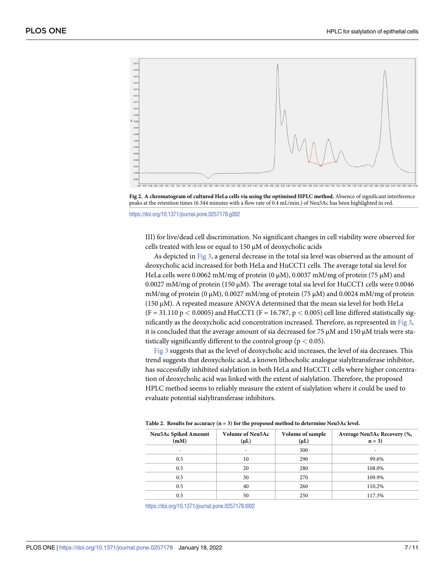<span id="page-7-0"></span>

**[Fig](#page-5-0) 2. A chromatogram of cultured HeLa cells via using the optimised HPLC method.** Absence of significant interference peaks at the retention times (6.344 minutes with a flow rate of 0.4 mL/min.) of Neu5Ac has been highlighted in red.

<https://doi.org/10.1371/journal.pone.0257178.g002>

III) for live/dead cell discrimination. No significant changes in cell viability were observed for cells treated with less or equal to 150 μM of deoxycholic acids

As depicted in [Fig](#page-8-0) 3, a general decrease in the total sia level was observed as the amount of deoxycholic acid increased for both HeLa and HuCCT1 cells. The average total sia level for HeLa cells were 0.0062 mM/mg of protein (0  $\mu$ M), 0.0037 mM/mg of protein (75  $\mu$ M) and 0.0027 mM/mg of protein (150 μM). The average total sia level for HuCCT1 cells were 0.0046 mM/mg of protein  $(0 \mu M)$ , 0.0027 mM/mg of protein (75  $\mu$ M) and 0.0024 mM/mg of protein (150 μM). A repeated measure ANOVA determined that the mean sia level for both HeLa  $(F = 31.110 \text{ p} < 0.0005)$  and HuCCT1 (F = 16.787,  $p < 0.005$ ) cell line differed statistically significantly as the deoxycholic acid concentration increased. Therefore, as represented in [Fig](#page-8-0) 3, it is concluded that the average amount of sia decreased for 75 μM and 150 μM trials were statistically significantly different to the control group (p *<* 0.05).

[Fig](#page-8-0) 3 suggests that as the level of deoxycholic acid increases, the level of sia decreases. This trend suggests that deoxycholic acid, a known lithocholic analogue sialyltransferase inhibitor, has successfully inhibited sialylation in both HeLa and HuCCT1 cells where higher concentration of deoxycholic acid was linked with the extent of sialylation. Therefore, the proposed HPLC method seems to reliably measure the extent of sialylation where it could be used to evaluate potential sialyltransferase inhibitors.

| <b>Neu5Ac Spiked Amount</b><br>(mM) | <b>Volume of Neu5Ac</b><br>$(\mu L)$ | Volume of sample<br>$(\mu L)$ | Average Neu5Ac Recovery (%,<br>$n = 3$ |  |  |
|-------------------------------------|--------------------------------------|-------------------------------|----------------------------------------|--|--|
| ۰                                   |                                      | 300                           |                                        |  |  |
| 0.5                                 | 10                                   | 290                           | 99.6%                                  |  |  |
| 0.5                                 | 20                                   | 280                           | 108.0%                                 |  |  |
| 0.5                                 | 30                                   | 270                           | 109.9%                                 |  |  |
| 0.5                                 | 40                                   | 260                           | 110.2%                                 |  |  |
| 0.5                                 | 50                                   | 250                           | 117.3%                                 |  |  |

**[Table](#page-6-0) 2. Results for accuracy (n = 3) for the proposed method to determine Neu5Ac level.**

<https://doi.org/10.1371/journal.pone.0257178.t002>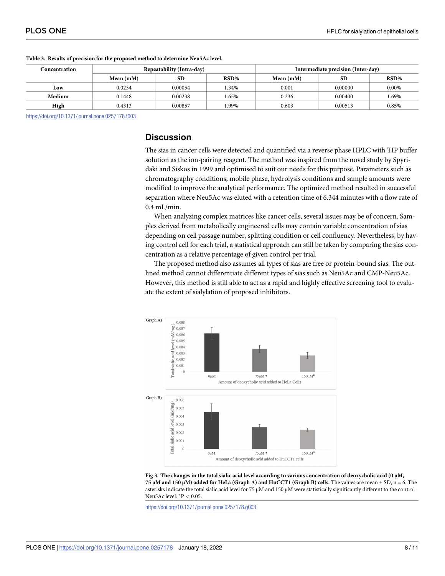| Concentration | Repeatability (Intra-day) |           |       |             | Intermediate precision (Inter-day) |          |
|---------------|---------------------------|-----------|-------|-------------|------------------------------------|----------|
|               | Mean $(mM)$               | <b>SD</b> | RSD%  | Mean $(mM)$ | <b>SD</b>                          | RSD%     |
| Low           | 0.0234                    | 0.00054   | .34%  | 0.001       | 0.00000                            | $0.00\%$ |
| Medium        | 0.1448                    | 0.00238   | 1.65% | 0.236       | 0.00400                            | 1.69%    |
| High          | 0.4313                    | 0.00857   | .99%  | 0.603       | 0.00513                            | 0.85%    |

#### <span id="page-8-0"></span>**[Table](#page-6-0) 3. Results of precision for the proposed method to determine Neu5Ac level.**

<https://doi.org/10.1371/journal.pone.0257178.t003>

## **Discussion**

The sias in cancer cells were detected and quantified via a reverse phase HPLC with TIP buffer solution as the ion-pairing reagent. The method was inspired from the novel study by Spyridaki and Siskos in 1999 and optimised to suit our needs for this purpose. Parameters such as chromatography conditions, mobile phase, hydrolysis conditions and sample amounts were modified to improve the analytical performance. The optimized method resulted in successful separation where Neu5Ac was eluted with a retention time of 6.344 minutes with a flow rate of 0.4 mL/min.

When analyzing complex matrices like cancer cells, several issues may be of concern. Samples derived from metabolically engineered cells may contain variable concentration of sias depending on cell passage number, splitting condition or cell confluency. Nevertheless, by having control cell for each trial, a statistical approach can still be taken by comparing the sias concentration as a relative percentage of given control per trial.

The proposed method also assumes all types of sias are free or protein-bound sias. The outlined method cannot differentiate different types of sias such as Neu5Ac and CMP-Neu5Ac. However, this method is still able to act as a rapid and highly effective screening tool to evaluate the extent of sialylation of proposed inhibitors.



[Fig](#page-7-0) 3. The changes in the total sialic acid level according to various concentration of deoxycholic acid (0  $\mu$ M, 75 µM and 150 µM) added for HeLa (Graph A) and HuCCT1 (Graph B) cells. The values are mean  $\pm$  SD, n = 6. The asterisks indicate the total sialic acid level for 75 μM and 150 μM were statistically significantly different to the control Neu5Ac level: �P *<* 0.05.

<https://doi.org/10.1371/journal.pone.0257178.g003>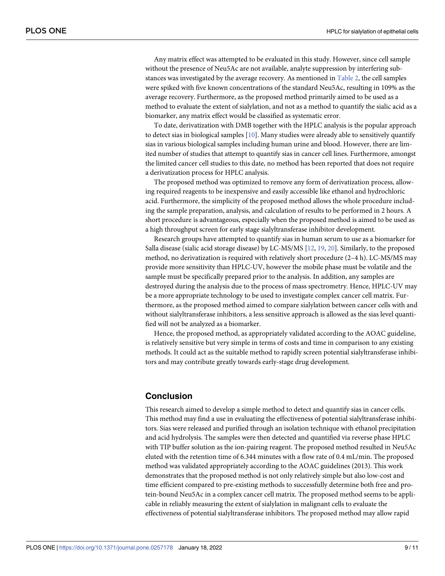<span id="page-9-0"></span>Any matrix effect was attempted to be evaluated in this study. However, since cell sample without the presence of Neu5Ac are not available, analyte suppression by interfering substances was investigated by the average recovery. As mentioned in [Table](#page-7-0) 2, the cell samples were spiked with five known concentrations of the standard Neu5Ac, resulting in 109% as the average recovery. Furthermore, as the proposed method primarily aimed to be used as a method to evaluate the extent of sialylation, and not as a method to quantify the sialic acid as a biomarker, any matrix effect would be classified as systematic error.

To date, derivatization with DMB together with the HPLC analysis is the popular approach to detect sias in biological samples [\[10\]](#page-10-0). Many studies were already able to sensitively quantify sias in various biological samples including human urine and blood. However, there are limited number of studies that attempt to quantify sias in cancer cell lines. Furthermore, amongst the limited cancer cell studies to this date, no method has been reported that does not require a derivatization process for HPLC analysis.

The proposed method was optimized to remove any form of derivatization process, allowing required reagents to be inexpensive and easily accessible like ethanol and hydrochloric acid. Furthermore, the simplicity of the proposed method allows the whole procedure including the sample preparation, analysis, and calculation of results to be performed in 2 hours. A short procedure is advantageous, especially when the proposed method is aimed to be used as a high throughput screen for early stage sialyltransferase inhibitor development.

Research groups have attempted to quantify sias in human serum to use as a biomarker for Salla disease (sialic acid storage disease) by LC-MS/MS [\[12,](#page-10-0) [19,](#page-11-0) [20](#page-11-0)]. Similarly, to the proposed method, no derivatization is required with relatively short procedure (2–4 h). LC-MS/MS may provide more sensitivity than HPLC-UV, however the mobile phase must be volatile and the sample must be specifically prepared prior to the analysis. In addition, any samples are destroyed during the analysis due to the process of mass spectrometry. Hence, HPLC-UV may be a more appropriate technology to be used to investigate complex cancer cell matrix. Furthermore, as the proposed method aimed to compare sialylation between cancer cells with and without sialyltransferase inhibitors, a less sensitive approach is allowed as the sias level quantified will not be analyzed as a biomarker.

Hence, the proposed method, as appropriately validated according to the AOAC guideline, is relatively sensitive but very simple in terms of costs and time in comparison to any existing methods. It could act as the suitable method to rapidly screen potential sialyltransferase inhibitors and may contribute greatly towards early-stage drug development.

### **Conclusion**

This research aimed to develop a simple method to detect and quantify sias in cancer cells. This method may find a use in evaluating the effectiveness of potential sialyltransferase inhibitors. Sias were released and purified through an isolation technique with ethanol precipitation and acid hydrolysis. The samples were then detected and quantified via reverse phase HPLC with TIP buffer solution as the ion-pairing reagent. The proposed method resulted in Neu5Ac eluted with the retention time of 6.344 minutes with a flow rate of 0.4 mL/min. The proposed method was validated appropriately according to the AOAC guidelines (2013). This work demonstrates that the proposed method is not only relatively simple but also low-cost and time efficient compared to pre-existing methods to successfully determine both free and protein-bound Neu5Ac in a complex cancer cell matrix. The proposed method seems to be applicable in reliably measuring the extent of sialylation in malignant cells to evaluate the effectiveness of potential sialyltransferase inhibitors. The proposed method may allow rapid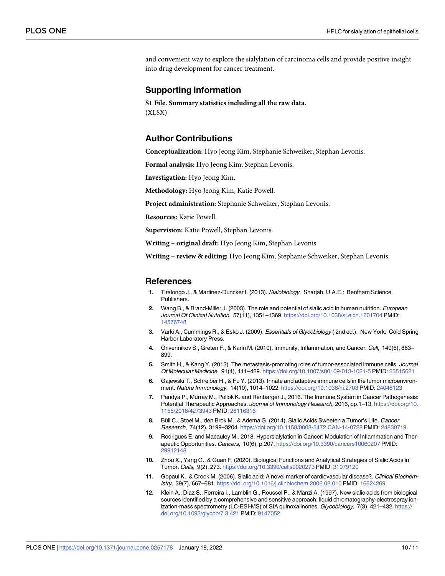<span id="page-10-0"></span>and convenient way to explore the sialylation of carcinoma cells and provide positive insight into drug development for cancer treatment.

#### **Supporting information**

**S1 [File.](http://www.plosone.org/article/fetchSingleRepresentation.action?uri=info:doi/10.1371/journal.pone.0257178.s001) Summary statistics including all the raw data.** (XLSX)

#### **Author Contributions**

**Conceptualization:** Hyo Jeong Kim, Stephanie Schweiker, Stephan Levonis.

**Formal analysis:** Hyo Jeong Kim, Stephan Levonis.

**Investigation:** Hyo Jeong Kim.

**Methodology:** Hyo Jeong Kim, Katie Powell.

**Project administration:** Stephanie Schweiker, Stephan Levonis.

**Resources:** Katie Powell.

**Supervision:** Katie Powell, Stephan Levonis.

**Writing – original draft:** Hyo Jeong Kim, Stephan Levonis.

**Writing – review & editing:** Hyo Jeong Kim, Stephanie Schweiker, Stephan Levonis.

#### **References**

- **[1](#page-1-0).** Tiralongo J., & Martinez-Duncker I. (2013). Sialobiology. Sharjah, U.A.E.: Bentham Science Publishers.
- **[2](#page-2-0).** Wang B., & Brand-Miller J. (2003). The role and potential of sialic acid in human nutrition. European Journal Of Clinical Nutrition, 57(11), 1351-1369. <https://doi.org/10.1038/sj.ejcn.1601704> PMID: [14576748](http://www.ncbi.nlm.nih.gov/pubmed/14576748)
- **[3](#page-1-0).** Varki A., Cummings R., & Esko J. (2009). Essentials of Glycobiology ( 2nd ed.). New York: Cold Spring Harbor Laboratory Press.
- **[4](#page-2-0).** Grivennikov S., Greten F., & Karin M. (2010). Immunity, Inflammation, and Cancer. Cell, 140(6), 883– 899.
- **5.** Smith H., & Kang Y. (2013). The metastasis-promoting roles of tumor-associated immune cells. Journal Of Molecular Medicine, 91(4), 411–429. <https://doi.org/10.1007/s00109-013-1021-5> PMID: [23515621](http://www.ncbi.nlm.nih.gov/pubmed/23515621)
- **6.** Gajewski T., Schreiber H., & Fu Y. (2013). Innate and adaptive immune cells in the tumor microenvironment. Nature Immunology, 14(10), 1014–1022. <https://doi.org/10.1038/ni.2703> PMID: [24048123](http://www.ncbi.nlm.nih.gov/pubmed/24048123)
- **[7](#page-2-0).** Pandya P., Murray M., Pollok K. and Renbarger J., 2016. The Immune System in Cancer Pathogenesis: Potential Therapeutic Approaches. Journal of Immunology Research, 2016, pp.1–13. [https://doi.org/10.](https://doi.org/10.1155/2016/4273943) [1155/2016/4273943](https://doi.org/10.1155/2016/4273943) PMID: [28116316](http://www.ncbi.nlm.nih.gov/pubmed/28116316)
- **[8](#page-2-0).** Büll C., Stoel M., den Brok M., & Adema G. (2014). Sialic Acids Sweeten a Tumor's Life. Cancer Research, 74(12), 3199–3204. <https://doi.org/10.1158/0008-5472.CAN-14-0728> PMID: [24830719](http://www.ncbi.nlm.nih.gov/pubmed/24830719)
- **[9](#page-2-0).** Rodrigues E. and Macauley M., 2018. Hypersialylation in Cancer: Modulation of Inflammation and Therapeutic Opportunities. Cancers, 10(6), p.207. <https://doi.org/10.3390/cancers10060207> PMID: [29912148](http://www.ncbi.nlm.nih.gov/pubmed/29912148)
- **[10](#page-9-0).** Zhou X., Yang G., & Guan F. (2020). Biological Functions and Analytical Strategies of Sialic Acids in Tumor. Cells, 9(2), 273. <https://doi.org/10.3390/cells9020273> PMID: [31979120](http://www.ncbi.nlm.nih.gov/pubmed/31979120)
- **[11](#page-2-0).** Gopaul K., & Crook M. (2006). Sialic acid: A novel marker of cardiovascular disease?. Clinical Biochemistry, 39(7), 667–681. <https://doi.org/10.1016/j.clinbiochem.2006.02.010> PMID: [16624269](http://www.ncbi.nlm.nih.gov/pubmed/16624269)
- **[12](#page-2-0).** Klein A., Diaz S., Ferreira I., Lamblin G., Roussel P., & Manzi A. (1997). New sialic acids from biological sources identified by a comprehensive and sensitive approach: liquid chromatography-electrospray ionization-mass spectrometry (LC-ESI-MS) of SIA quinoxalinones. Glycobiology, 7(3), 421–432. [https://](https://doi.org/10.1093/glycob/7.3.421) [doi.org/10.1093/glycob/7.3.421](https://doi.org/10.1093/glycob/7.3.421) PMID: [9147052](http://www.ncbi.nlm.nih.gov/pubmed/9147052)